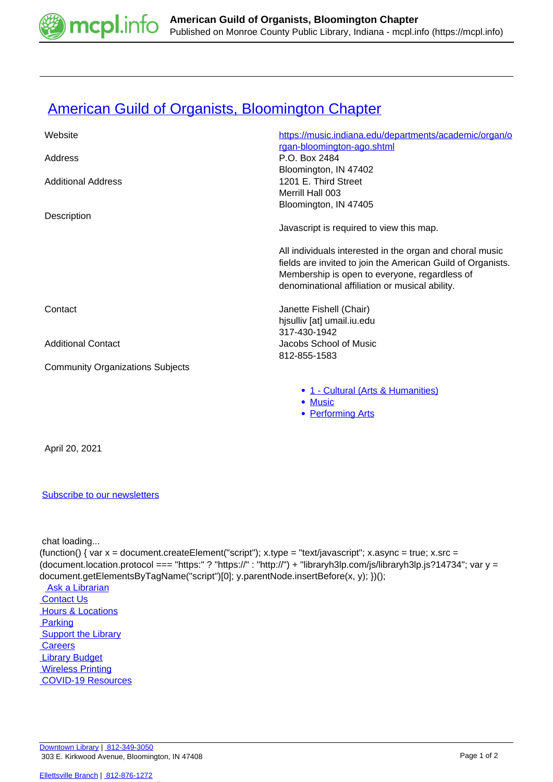

## **[American Guild of Organists, Bloomington Chapter](https://mcpl.info/commorg/american-guild-organists-bloomington-chapter)**

| Website                                 | https://music.indiana.edu/departments/academic/organ/o      |
|-----------------------------------------|-------------------------------------------------------------|
| Address                                 | rgan-bloomington-ago.shtml<br>P.O. Box 2484                 |
|                                         | Bloomington, IN 47402                                       |
| <b>Additional Address</b>               | 1201 E. Third Street                                        |
|                                         | Merrill Hall 003                                            |
|                                         | Bloomington, IN 47405                                       |
| Description                             |                                                             |
|                                         | Javascript is required to view this map.                    |
|                                         | All individuals interested in the organ and choral music    |
|                                         | fields are invited to join the American Guild of Organists. |
|                                         | Membership is open to everyone, regardless of               |
|                                         | denominational affiliation or musical ability.              |
| Contact                                 | Janette Fishell (Chair)                                     |
|                                         | hjsulliv [at] umail.iu.edu                                  |
|                                         | 317-430-1942                                                |
| <b>Additional Contact</b>               | Jacobs School of Music                                      |
|                                         | 812-855-1583                                                |
| <b>Community Organizations Subjects</b> |                                                             |
|                                         | • 1 - Cultural (Arts & Humanities)                          |
|                                         | • Music                                                     |
|                                         | <b>Performing Arts</b><br>٠                                 |
|                                         |                                                             |

April 20, 2021

## [Subscribe to our newsletters](https://mcpl.info/geninfo/subscribe-think-library-newsletter)

chat loading...

(function() { var  $x =$  document.createElement("script");  $x.$ type = "text/javascript";  $x.$ async = true;  $x.$ src = (document.location.protocol === "https:" ? "https://" : "http://") + "libraryh3lp.com/js/libraryh3lp.js?14734"; var y = document.getElementsByTagName("script")[0]; y.parentNode.insertBefore(x, y); })();

 [Ask a Librarian](https://mcpl.info/askus)  [Contact Us](https://mcpl.info/geninfo/contact-us) **Hours & Locations Parking Support the Library Careers**  [Library Budget](https://budgetnotices.in.gov/unit_lookup.aspx?ct=53000)  [Wireless Printing](https://tbs.eprintit.com/portal/#/ppl/upload/monroecpl)  [COVID-19 Resources](https://mcpl.info/geninfo/local-covid-resources)